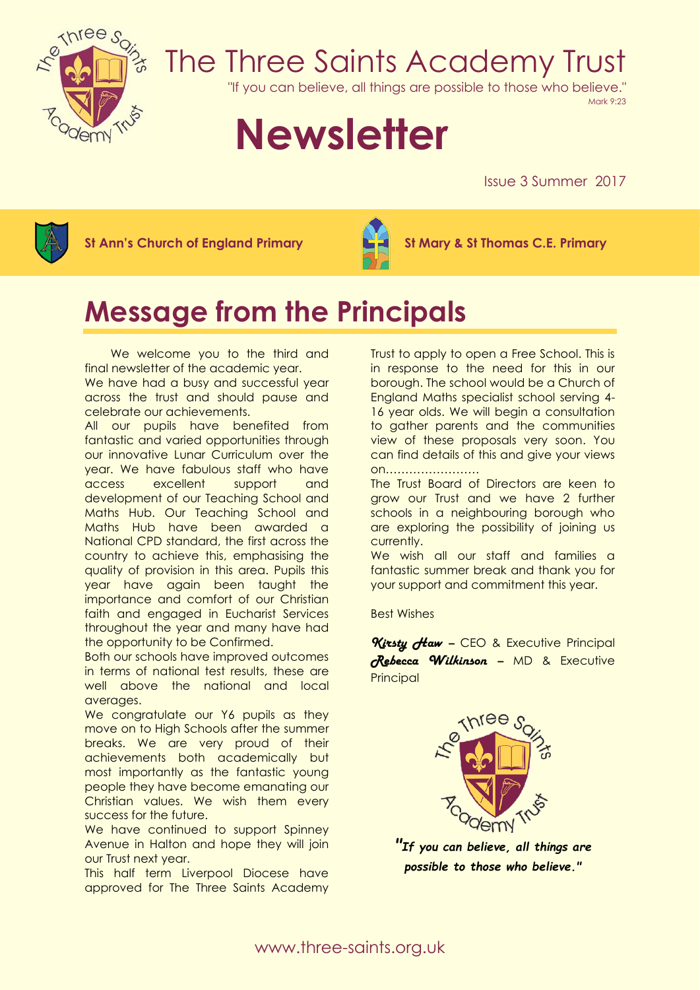

## The Three Saints Academy Trust

"If you can believe, all things are possible to those who believe."

Mark 9:23

# **Newsletter**

Issue 3 Summer 2017



**St Ann's Church of England Primary St Mary & St Thomas C.E. Primary**



### **Message from the Principals**

 We welcome you to the third and final newsletter of the academic year. We have had a busy and successful year across the trust and should pause and celebrate our achievements.

All our pupils have benefited from fantastic and varied opportunities through our innovative Lunar Curriculum over the year. We have fabulous staff who have access excellent support and development of our Teaching School and Maths Hub. Our Teaching School and Maths Hub have been awarded a National CPD standard, the first across the country to achieve this, emphasising the quality of provision in this area. Pupils this year have again been taught the importance and comfort of our Christian faith and engaged in Eucharist Services throughout the year and many have had the opportunity to be Confirmed.

Both our schools have improved outcomes in terms of national test results, these are well above the national and local averages.

We congratulate our Y6 pupils as they move on to High Schools after the summer breaks. We are very proud of their achievements both academically but most importantly as the fantastic young people they have become emanating our Christian values. We wish them every success for the future.

We have continued to support Spinney Avenue in Halton and hope they will join our Trust next year.

This half term Liverpool Diocese have approved for The Three Saints Academy

Trust to apply to open a Free School. This is in response to the need for this in our borough. The school would be a Church of England Maths specialist school serving 4- 16 year olds. We will begin a consultation to gather parents and the communities view of these proposals very soon. You can find details of this and give your views on……………………

The Trust Board of Directors are keen to grow our Trust and we have 2 further schools in a neighbouring borough who are exploring the possibility of joining us currently.

We wish all our staff and families a fantastic summer break and thank you for your support and commitment this year.

Best Wishes

*Kirsty Haw –* CEO & Executive Principal *Rebecca Wilkinson –* MD & Executive **Principal** 



*"If you can believe, all things are possible to those who believe."*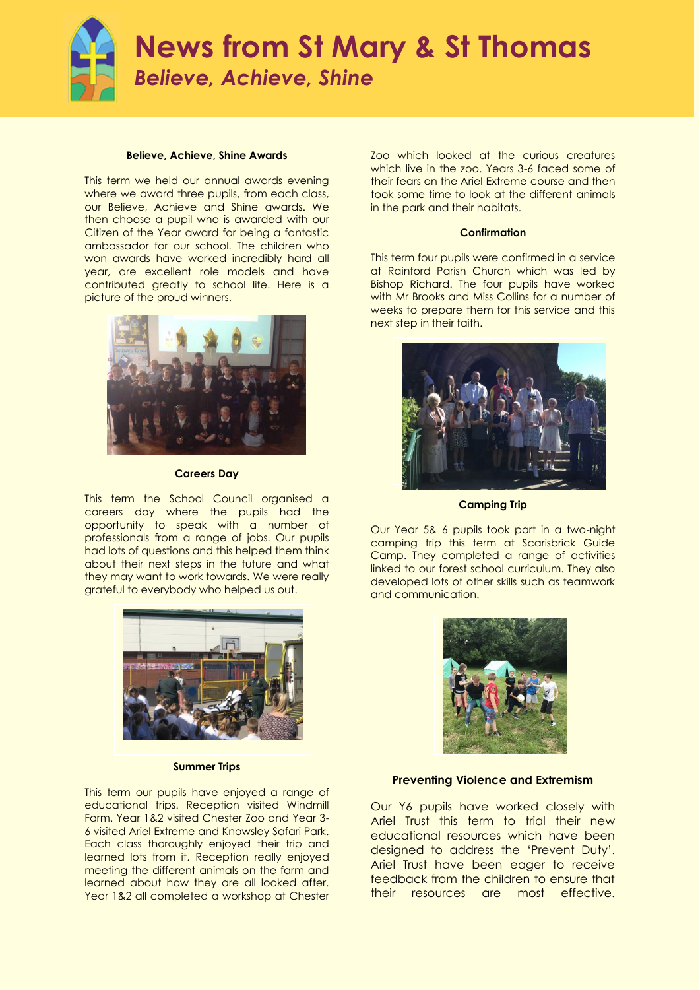

### **News from St Mary & St Thomas** *Believe, Achieve, Shine*

#### **Believe, Achieve, Shine Awards**

This term we held our annual awards evening where we award three pupils, from each class, our Believe, Achieve and Shine awards. We then choose a pupil who is awarded with our Citizen of the Year award for being a fantastic ambassador for our school. The children who won awards have worked incredibly hard all year, are excellent role models and have contributed greatly to school life. Here is a picture of the proud winners.



**Careers Day**

This term the School Council organised a careers day where the pupils had the opportunity to speak with a number of professionals from a range of jobs. Our pupils had lots of questions and this helped them think about their next steps in the future and what they may want to work towards. We were really grateful to everybody who helped us out.



#### **Summer Trips**

This term our pupils have enjoyed a range of educational trips. Reception visited Windmill Farm. Year 1&2 visited Chester Zoo and Year 3- 6 visited Ariel Extreme and Knowsley Safari Park. Each class thoroughly enjoyed their trip and learned lots from it. Reception really enjoyed meeting the different animals on the farm and learned about how they are all looked after. Year 1&2 all completed a workshop at Chester Zoo which looked at the curious creatures which live in the zoo. Years 3-6 faced some of their fears on the Ariel Extreme course and then took some time to look at the different animals in the park and their habitats.

#### **Confirmation**

This term four pupils were confirmed in a service at Rainford Parish Church which was led by Bishop Richard. The four pupils have worked with Mr Brooks and Miss Collins for a number of weeks to prepare them for this service and this next step in their faith.



**Camping Trip**

Our Year 5& 6 pupils took part in a two-night camping trip this term at Scarisbrick Guide Camp. They completed a range of activities linked to our forest school curriculum. They also developed lots of other skills such as teamwork and communication.



#### **Preventing Violence and Extremism**

Our Y6 pupils have worked closely with Ariel Trust this term to trial their new educational resources which have been designed to address the 'Prevent Duty'. Ariel Trust have been eager to receive feedback from the children to ensure that their resources are most effective.